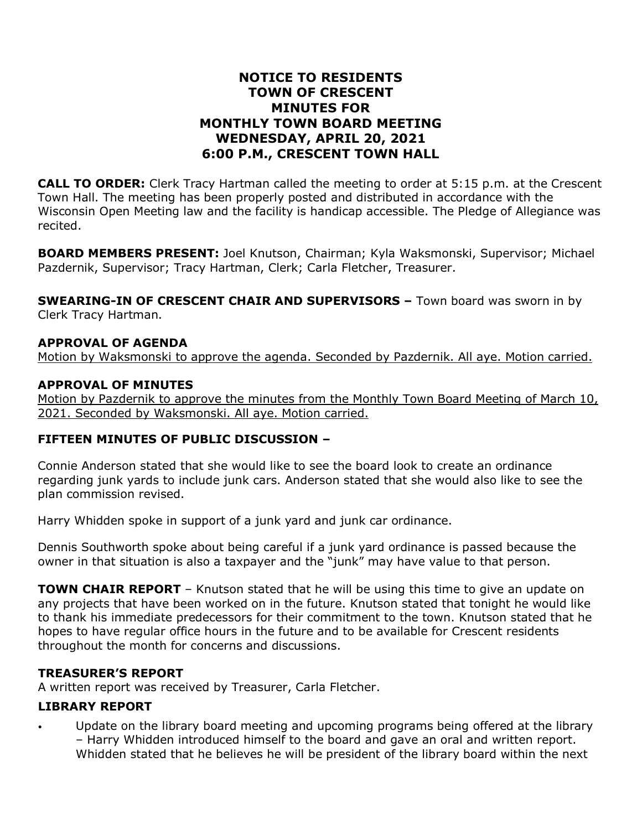## **NOTICE TO RESIDENTS TOWN OF CRESCENT MINUTES FOR MONTHLY TOWN BOARD MEETING WEDNESDAY, APRIL 20, 2021 6:00 P.M., CRESCENT TOWN HALL**

**CALL TO ORDER:** Clerk Tracy Hartman called the meeting to order at 5:15 p.m. at the Crescent Town Hall. The meeting has been properly posted and distributed in accordance with the Wisconsin Open Meeting law and the facility is handicap accessible. The Pledge of Allegiance was recited.

**BOARD MEMBERS PRESENT:** Joel Knutson, Chairman; Kyla Waksmonski, Supervisor; Michael Pazdernik, Supervisor; Tracy Hartman, Clerk; Carla Fletcher, Treasurer.

**SWEARING-IN OF CRESCENT CHAIR AND SUPERVISORS –** Town board was sworn in by Clerk Tracy Hartman.

#### **APPROVAL OF AGENDA**

Motion by Waksmonski to approve the agenda. Seconded by Pazdernik. All aye. Motion carried.

#### **APPROVAL OF MINUTES**

Motion by Pazdernik to approve the minutes from the Monthly Town Board Meeting of March 10, 2021. Seconded by Waksmonski. All aye. Motion carried.

### **FIFTEEN MINUTES OF PUBLIC DISCUSSION –**

Connie Anderson stated that she would like to see the board look to create an ordinance regarding junk yards to include junk cars. Anderson stated that she would also like to see the plan commission revised.

Harry Whidden spoke in support of a junk yard and junk car ordinance.

Dennis Southworth spoke about being careful if a junk yard ordinance is passed because the owner in that situation is also a taxpayer and the "junk" may have value to that person.

**TOWN CHAIR REPORT** – Knutson stated that he will be using this time to give an update on any projects that have been worked on in the future. Knutson stated that tonight he would like to thank his immediate predecessors for their commitment to the town. Knutson stated that he hopes to have regular office hours in the future and to be available for Crescent residents throughout the month for concerns and discussions.

#### **TREASURER'S REPORT**

A written report was received by Treasurer, Carla Fletcher.

#### **LIBRARY REPORT**

Update on the library board meeting and upcoming programs being offered at the library – Harry Whidden introduced himself to the board and gave an oral and written report. Whidden stated that he believes he will be president of the library board within the next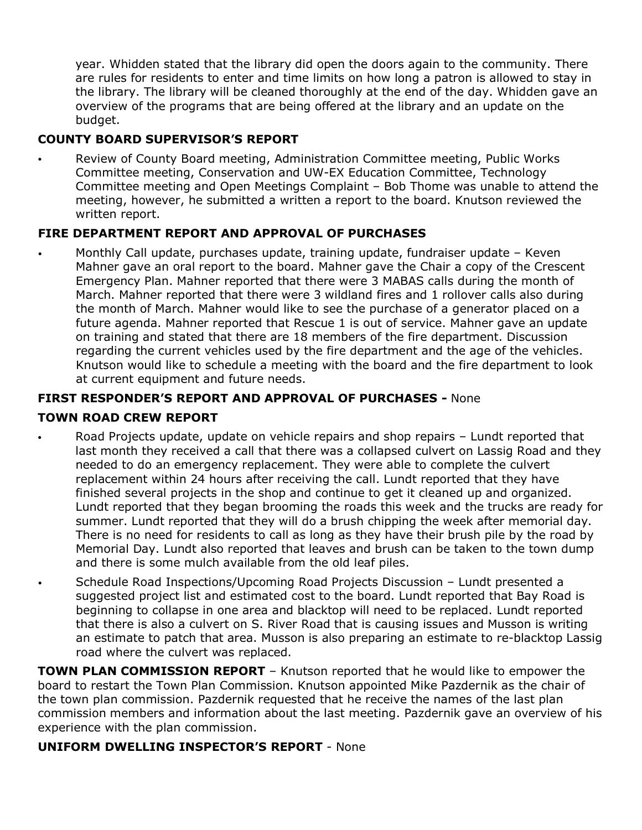year. Whidden stated that the library did open the doors again to the community. There are rules for residents to enter and time limits on how long a patron is allowed to stay in the library. The library will be cleaned thoroughly at the end of the day. Whidden gave an overview of the programs that are being offered at the library and an update on the budget.

# **COUNTY BOARD SUPERVISOR'S REPORT**

• Review of County Board meeting, Administration Committee meeting, Public Works Committee meeting, Conservation and UW-EX Education Committee, Technology Committee meeting and Open Meetings Complaint – Bob Thome was unable to attend the meeting, however, he submitted a written a report to the board. Knutson reviewed the written report.

### **FIRE DEPARTMENT REPORT AND APPROVAL OF PURCHASES**

• Monthly Call update, purchases update, training update, fundraiser update – Keven Mahner gave an oral report to the board. Mahner gave the Chair a copy of the Crescent Emergency Plan. Mahner reported that there were 3 MABAS calls during the month of March. Mahner reported that there were 3 wildland fires and 1 rollover calls also during the month of March. Mahner would like to see the purchase of a generator placed on a future agenda. Mahner reported that Rescue 1 is out of service. Mahner gave an update on training and stated that there are 18 members of the fire department. Discussion regarding the current vehicles used by the fire department and the age of the vehicles. Knutson would like to schedule a meeting with the board and the fire department to look at current equipment and future needs.

## **FIRST RESPONDER'S REPORT AND APPROVAL OF PURCHASES -** None

## **TOWN ROAD CREW REPORT**

- Road Projects update, update on vehicle repairs and shop repairs Lundt reported that last month they received a call that there was a collapsed culvert on Lassig Road and they needed to do an emergency replacement. They were able to complete the culvert replacement within 24 hours after receiving the call. Lundt reported that they have finished several projects in the shop and continue to get it cleaned up and organized. Lundt reported that they began brooming the roads this week and the trucks are ready for summer. Lundt reported that they will do a brush chipping the week after memorial day. There is no need for residents to call as long as they have their brush pile by the road by Memorial Day. Lundt also reported that leaves and brush can be taken to the town dump and there is some mulch available from the old leaf piles.
- Schedule Road Inspections/Upcoming Road Projects Discussion Lundt presented a suggested project list and estimated cost to the board. Lundt reported that Bay Road is beginning to collapse in one area and blacktop will need to be replaced. Lundt reported that there is also a culvert on S. River Road that is causing issues and Musson is writing an estimate to patch that area. Musson is also preparing an estimate to re-blacktop Lassig road where the culvert was replaced.

**TOWN PLAN COMMISSION REPORT** – Knutson reported that he would like to empower the board to restart the Town Plan Commission. Knutson appointed Mike Pazdernik as the chair of the town plan commission. Pazdernik requested that he receive the names of the last plan commission members and information about the last meeting. Pazdernik gave an overview of his experience with the plan commission.

### **UNIFORM DWELLING INSPECTOR'S REPORT** - None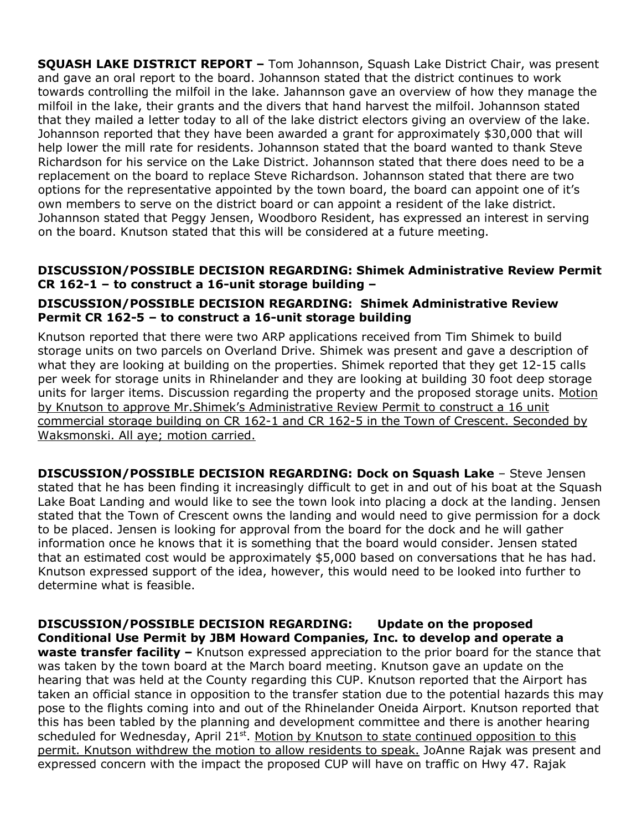**SQUASH LAKE DISTRICT REPORT –** Tom Johannson, Squash Lake District Chair, was present and gave an oral report to the board. Johannson stated that the district continues to work towards controlling the milfoil in the lake. Jahannson gave an overview of how they manage the milfoil in the lake, their grants and the divers that hand harvest the milfoil. Johannson stated that they mailed a letter today to all of the lake district electors giving an overview of the lake. Johannson reported that they have been awarded a grant for approximately \$30,000 that will help lower the mill rate for residents. Johannson stated that the board wanted to thank Steve Richardson for his service on the Lake District. Johannson stated that there does need to be a replacement on the board to replace Steve Richardson. Johannson stated that there are two options for the representative appointed by the town board, the board can appoint one of it's own members to serve on the district board or can appoint a resident of the lake district. Johannson stated that Peggy Jensen, Woodboro Resident, has expressed an interest in serving on the board. Knutson stated that this will be considered at a future meeting.

### **DISCUSSION/POSSIBLE DECISION REGARDING: Shimek Administrative Review Permit CR 162-1 – to construct a 16-unit storage building –**

## **DISCUSSION/POSSIBLE DECISION REGARDING: Shimek Administrative Review Permit CR 162-5 – to construct a 16-unit storage building**

Knutson reported that there were two ARP applications received from Tim Shimek to build storage units on two parcels on Overland Drive. Shimek was present and gave a description of what they are looking at building on the properties. Shimek reported that they get 12-15 calls per week for storage units in Rhinelander and they are looking at building 30 foot deep storage units for larger items. Discussion regarding the property and the proposed storage units. Motion by Knutson to approve Mr.Shimek's Administrative Review Permit to construct a 16 unit commercial storage building on CR 162-1 and CR 162-5 in the Town of Crescent. Seconded by Waksmonski. All aye; motion carried.

**DISCUSSION/POSSIBLE DECISION REGARDING: Dock on Squash Lake** – Steve Jensen stated that he has been finding it increasingly difficult to get in and out of his boat at the Squash Lake Boat Landing and would like to see the town look into placing a dock at the landing. Jensen stated that the Town of Crescent owns the landing and would need to give permission for a dock to be placed. Jensen is looking for approval from the board for the dock and he will gather information once he knows that it is something that the board would consider. Jensen stated that an estimated cost would be approximately \$5,000 based on conversations that he has had. Knutson expressed support of the idea, however, this would need to be looked into further to determine what is feasible.

**DISCUSSION/POSSIBLE DECISION REGARDING: Update on the proposed Conditional Use Permit by JBM Howard Companies, Inc. to develop and operate a waste transfer facility –** Knutson expressed appreciation to the prior board for the stance that was taken by the town board at the March board meeting. Knutson gave an update on the hearing that was held at the County regarding this CUP. Knutson reported that the Airport has taken an official stance in opposition to the transfer station due to the potential hazards this may pose to the flights coming into and out of the Rhinelander Oneida Airport. Knutson reported that this has been tabled by the planning and development committee and there is another hearing scheduled for Wednesday, April 21<sup>st</sup>. Motion by Knutson to state continued opposition to this permit. Knutson withdrew the motion to allow residents to speak. JoAnne Rajak was present and expressed concern with the impact the proposed CUP will have on traffic on Hwy 47. Rajak